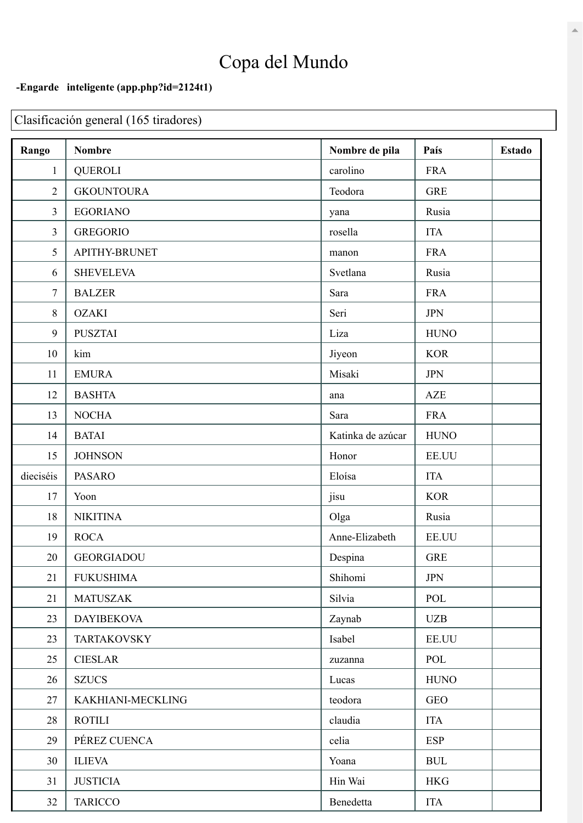## Copa del Mundo

## -Engarde inteligente (app.php?id=2124t1)

Clasificación general (165 tiradores)

| Rango          | <b>Nombre</b>      | Nombre de pila    | País                             | <b>Estado</b> |
|----------------|--------------------|-------------------|----------------------------------|---------------|
| $\mathbf{1}$   | <b>QUEROLI</b>     | carolino          | <b>FRA</b>                       |               |
| $\overline{2}$ | <b>GKOUNTOURA</b>  | Teodora           | <b>GRE</b>                       |               |
| 3              | <b>EGORIANO</b>    | yana              | Rusia                            |               |
| 3              | <b>GREGORIO</b>    | rosella           | <b>ITA</b>                       |               |
| 5              | APITHY-BRUNET      | manon             | <b>FRA</b>                       |               |
| 6              | <b>SHEVELEVA</b>   | Svetlana          | Rusia                            |               |
| $\tau$         | <b>BALZER</b>      | Sara              | <b>FRA</b>                       |               |
| 8              | <b>OZAKI</b>       | Seri              | <b>JPN</b>                       |               |
| 9              | <b>PUSZTAI</b>     | Liza              | <b>HUNO</b>                      |               |
| 10             | kim                | Jiyeon            | <b>KOR</b>                       |               |
| 11             | <b>EMURA</b>       | Misaki            | <b>JPN</b>                       |               |
| 12             | <b>BASHTA</b>      | ana               | AZE                              |               |
| 13             | <b>NOCHA</b>       | Sara              | <b>FRA</b>                       |               |
| 14             | <b>BATAI</b>       | Katinka de azúcar | <b>HUNO</b>                      |               |
| 15             | <b>JOHNSON</b>     | Honor             | EE.UU                            |               |
| dieciséis      | <b>PASARO</b>      | Eloísa            | <b>ITA</b>                       |               |
| 17             | Yoon               | jisu              | <b>KOR</b>                       |               |
| 18             | <b>NIKITINA</b>    | Olga              | Rusia                            |               |
| 19             | <b>ROCA</b>        | Anne-Elizabeth    | EE.UU                            |               |
| 20             | <b>GEORGIADOU</b>  | Despina           | <b>GRE</b>                       |               |
| 21             | <b>FUKUSHIMA</b>   | Shihomi           | <b>JPN</b>                       |               |
| 21             | <b>MATUSZAK</b>    | Silvia            | POL                              |               |
| 23             | <b>DAYIBEKOVA</b>  | Zaynab            | <b>UZB</b>                       |               |
| 23             | <b>TARTAKOVSKY</b> | Isabel            | EE.UU                            |               |
| 25             | <b>CIESLAR</b>     | zuzanna           | POL                              |               |
| 26             | <b>SZUCS</b>       | Lucas             | <b>HUNO</b>                      |               |
| 27             | KAKHIANI-MECKLING  | teodora           | <b>GEO</b>                       |               |
| 28             | <b>ROTILI</b>      | claudia           | <b>ITA</b>                       |               |
| 29             | PÉREZ CUENCA       | celia             | <b>ESP</b>                       |               |
| 30             | <b>ILIEVA</b>      | Yoana             | $\mathbf{B}\mathbf{U}\mathbf{L}$ |               |
| 31             | <b>JUSTICIA</b>    | Hin Wai           | <b>HKG</b>                       |               |
| 32             | <b>TARICCO</b>     | Benedetta         | <b>ITA</b>                       |               |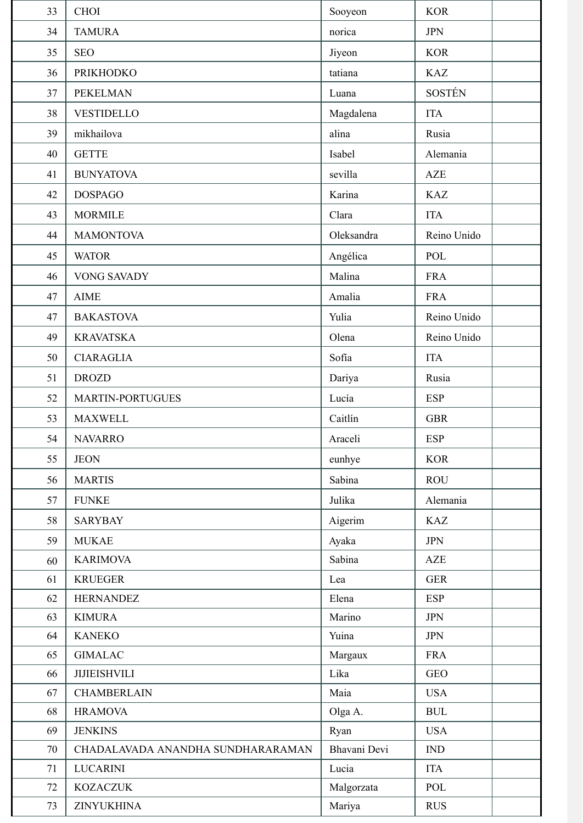| 33       | <b>CHOI</b>                          | Sooyeon         | <b>KOR</b>                                     |
|----------|--------------------------------------|-----------------|------------------------------------------------|
| 34       | <b>TAMURA</b>                        | norica          | <b>JPN</b>                                     |
| 35       | <b>SEO</b>                           | Jiyeon          | <b>KOR</b>                                     |
| 36       | <b>PRIKHODKO</b>                     | tatiana         | <b>KAZ</b>                                     |
| 37       | <b>PEKELMAN</b>                      | Luana           | <b>SOSTÉN</b>                                  |
| 38       | <b>VESTIDELLO</b>                    | Magdalena       | <b>ITA</b>                                     |
| 39       | mikhailova                           | alina           | Rusia                                          |
| 40       | <b>GETTE</b>                         | Isabel          | Alemania                                       |
| 41       | <b>BUNYATOVA</b>                     | sevilla         | <b>AZE</b>                                     |
| 42       | <b>DOSPAGO</b>                       | Karina          | <b>KAZ</b>                                     |
| 43       | <b>MORMILE</b>                       | Clara           | <b>ITA</b>                                     |
| 44       | <b>MAMONTOVA</b>                     | Oleksandra      | Reino Unido                                    |
| 45       | <b>WATOR</b>                         | Angélica        | POL                                            |
| 46       | <b>VONG SAVADY</b>                   | Malina          | <b>FRA</b>                                     |
| 47       | <b>AIME</b>                          | Amalia          | <b>FRA</b>                                     |
| 47       | <b>BAKASTOVA</b>                     | Yulia           | Reino Unido                                    |
| 49       | <b>KRAVATSKA</b>                     | Olena           | Reino Unido                                    |
| 50       | <b>CIARAGLIA</b>                     | Sofía           | <b>ITA</b>                                     |
| 51       | <b>DROZD</b>                         | Dariya          | Rusia                                          |
| 52       | <b>MARTIN-PORTUGUES</b>              | Lucía           | <b>ESP</b>                                     |
| 53       | <b>MAXWELL</b>                       | Caitlín         | <b>GBR</b>                                     |
| 54       | <b>NAVARRO</b>                       | Araceli         | <b>ESP</b>                                     |
| 55       | <b>JEON</b>                          | eunhye          | <b>KOR</b>                                     |
| 56       | <b>MARTIS</b>                        | Sabina          | <b>ROU</b>                                     |
| 57       | <b>FUNKE</b>                         | Julika          | Alemania                                       |
| 58       | <b>SARYBAY</b>                       | Aigerim         | <b>KAZ</b>                                     |
| 59       | <b>MUKAE</b>                         | Ayaka           | <b>JPN</b>                                     |
| 60       | <b>KARIMOVA</b>                      | Sabina          | AZE                                            |
| 61       | <b>KRUEGER</b>                       | Lea             | <b>GER</b>                                     |
| 62       | <b>HERNANDEZ</b>                     | Elena           | <b>ESP</b>                                     |
| 63       | <b>KIMURA</b>                        | Marino          | <b>JPN</b>                                     |
| 64       | <b>KANEKO</b>                        | Yuina           | <b>JPN</b>                                     |
| 65       | <b>GIMALAC</b>                       | Margaux         | <b>FRA</b>                                     |
| 66       | <b>JIJIEISHVILI</b>                  | Lika            | <b>GEO</b>                                     |
| 67<br>68 | <b>CHAMBERLAIN</b><br><b>HRAMOVA</b> | Maia            | <b>USA</b><br>$\mathbf{B}\mathbf{U}\mathbf{L}$ |
| 69       | <b>JENKINS</b>                       | Olga A.<br>Ryan | <b>USA</b>                                     |
| 70       | CHADALAVADA ANANDHA SUNDHARARAMAN    | Bhavani Devi    | $\mathop{\rm IND}\nolimits$                    |
| 71       | <b>LUCARINI</b>                      | Lucia           | <b>ITA</b>                                     |
| 72       | <b>KOZACZUK</b>                      | Malgorzata      | POL                                            |
| 73       | ZINYUKHINA                           | Mariya          | <b>RUS</b>                                     |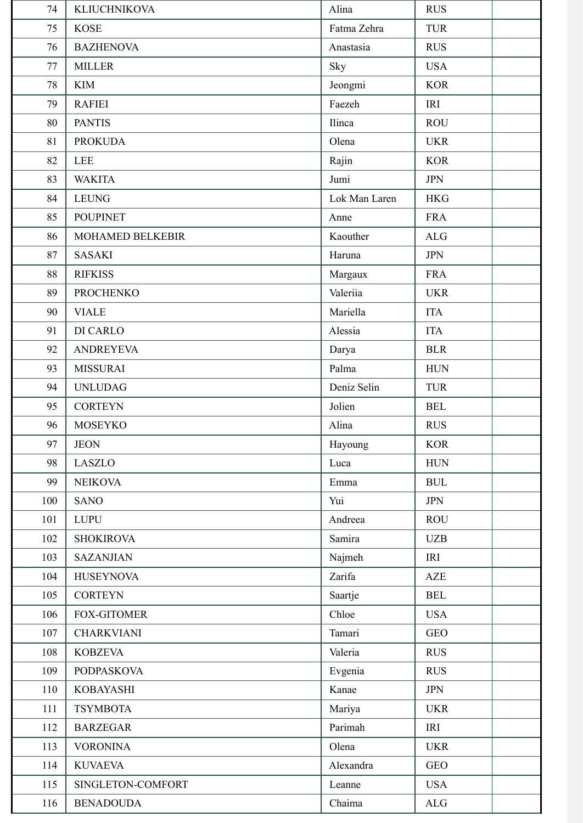| 74  | <b>KLIUCHNIKOVA</b> | Alina         | <b>RUS</b> |
|-----|---------------------|---------------|------------|
| 75  | <b>KOSE</b>         | Fatma Zehra   | <b>TUR</b> |
| 76  | <b>BAZHENOVA</b>    | Anastasia     | <b>RUS</b> |
| 77  | <b>MILLER</b>       | Sky           | <b>USA</b> |
| 78  | <b>KIM</b>          | Jeongmi       | <b>KOR</b> |
| 79  | <b>RAFIEI</b>       | Faezeh        | <b>IRI</b> |
| 80  | <b>PANTIS</b>       | Ilinca        | <b>ROU</b> |
| 81  | <b>PROKUDA</b>      | Olena         | <b>UKR</b> |
| 82  | <b>LEE</b>          | Rajin         | <b>KOR</b> |
| 83  | <b>WAKITA</b>       | Jumi          | <b>JPN</b> |
| 84  | <b>LEUNG</b>        | Lok Man Laren | <b>HKG</b> |
| 85  | <b>POUPINET</b>     | Anne          | <b>FRA</b> |
| 86  | MOHAMED BELKEBIR    | Kaouther      | ALG        |
| 87  | <b>SASAKI</b>       | Haruna        | <b>JPN</b> |
| 88  | <b>RIFKISS</b>      | Margaux       | <b>FRA</b> |
| 89  | <b>PROCHENKO</b>    | Valeriia      | <b>UKR</b> |
| 90  | <b>VIALE</b>        | Mariella      | <b>ITA</b> |
| 91  | DI CARLO            | Alessia       | <b>ITA</b> |
| 92  | <b>ANDREYEVA</b>    | Darya         | <b>BLR</b> |
| 93  | <b>MISSURAI</b>     | Palma         | <b>HUN</b> |
| 94  | <b>UNLUDAG</b>      | Deniz Selin   | <b>TUR</b> |
| 95  | <b>CORTEYN</b>      | Jolien        | <b>BEL</b> |
| 96  | <b>MOSEYKO</b>      | Alina         | <b>RUS</b> |
| 97  | <b>JEON</b>         | Hayoung       | <b>KOR</b> |
| 98  | LASZLO              | Luca          | <b>HUN</b> |
| 99  | <b>NEIKOVA</b>      | Emma          | <b>BUL</b> |
| 100 | <b>SANO</b>         | Yui           | <b>JPN</b> |
| 101 | <b>LUPU</b>         | Andreea       | <b>ROU</b> |
| 102 | <b>SHOKIROVA</b>    | Samira        | <b>UZB</b> |
| 103 | <b>SAZANJIAN</b>    | Najmeh        | IRI        |
| 104 | <b>HUSEYNOVA</b>    | Zarifa        | AZE        |
| 105 | <b>CORTEYN</b>      | Saartje       | <b>BEL</b> |
| 106 | <b>FOX-GITOMER</b>  | Chloe         | <b>USA</b> |
| 107 | <b>CHARKVIANI</b>   | Tamari        | <b>GEO</b> |
| 108 | <b>KOBZEVA</b>      | Valeria       | <b>RUS</b> |
| 109 | <b>PODPASKOVA</b>   | Evgenia       | <b>RUS</b> |
| 110 | <b>KOBAYASHI</b>    | Kanae         | <b>JPN</b> |
| 111 | <b>TSYMBOTA</b>     | Mariya        | <b>UKR</b> |
| 112 | <b>BARZEGAR</b>     | Parimah       | IRI        |
| 113 | <b>VORONINA</b>     | Olena         | <b>UKR</b> |
| 114 | <b>KUVAEVA</b>      | Alexandra     | <b>GEO</b> |
| 115 | SINGLETON-COMFORT   | Leanne        | <b>USA</b> |
| 116 | <b>BENADOUDA</b>    | Chaima        | ALG        |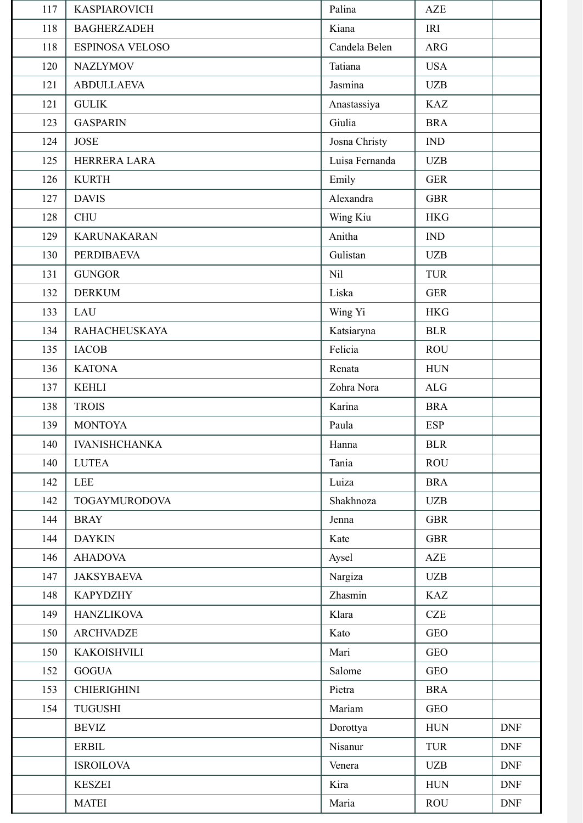| 117 | <b>KASPIAROVICH</b>    | Palina         | <b>AZE</b>     |            |
|-----|------------------------|----------------|----------------|------------|
| 118 | <b>BAGHERZADEH</b>     | Kiana          | IRI            |            |
| 118 | <b>ESPINOSA VELOSO</b> | Candela Belen  | <b>ARG</b>     |            |
| 120 | <b>NAZLYMOV</b>        | Tatiana        | <b>USA</b>     |            |
| 121 | <b>ABDULLAEVA</b>      | Jasmina        | <b>UZB</b>     |            |
| 121 | <b>GULIK</b>           | Anastassiya    | <b>KAZ</b>     |            |
| 123 | <b>GASPARIN</b>        | Giulia         | <b>BRA</b>     |            |
| 124 | <b>JOSE</b>            | Josna Christy  | IND            |            |
| 125 | HERRERA LARA           | Luisa Fernanda | <b>UZB</b>     |            |
| 126 | <b>KURTH</b>           | Emily          | <b>GER</b>     |            |
| 127 | <b>DAVIS</b>           | Alexandra      | <b>GBR</b>     |            |
| 128 | <b>CHU</b>             | Wing Kiu       | <b>HKG</b>     |            |
| 129 | <b>KARUNAKARAN</b>     | Anitha         | $\mathbf{IND}$ |            |
| 130 | <b>PERDIBAEVA</b>      | Gulistan       | <b>UZB</b>     |            |
| 131 | <b>GUNGOR</b>          | Nil            | <b>TUR</b>     |            |
| 132 | <b>DERKUM</b>          | Liska          | <b>GER</b>     |            |
| 133 | LAU                    | Wing Yi        | <b>HKG</b>     |            |
| 134 | <b>RAHACHEUSKAYA</b>   | Katsiaryna     | <b>BLR</b>     |            |
| 135 | <b>IACOB</b>           | Felicia        | <b>ROU</b>     |            |
| 136 | <b>KATONA</b>          | Renata         | <b>HUN</b>     |            |
| 137 | <b>KEHLI</b>           | Zohra Nora     | ALG            |            |
| 138 | <b>TROIS</b>           | Karina         | <b>BRA</b>     |            |
| 139 | <b>MONTOYA</b>         | Paula          | <b>ESP</b>     |            |
| 140 | <b>IVANISHCHANKA</b>   | Hanna          | <b>BLR</b>     |            |
| 140 | <b>LUTEA</b>           | Tania          | <b>ROU</b>     |            |
| 142 | <b>LEE</b>             | Luiza          | <b>BRA</b>     |            |
| 142 | <b>TOGAYMURODOVA</b>   | Shakhnoza      | <b>UZB</b>     |            |
| 144 | <b>BRAY</b>            | Jenna          | <b>GBR</b>     |            |
| 144 | <b>DAYKIN</b>          | Kate           | <b>GBR</b>     |            |
| 146 | <b>AHADOVA</b>         | Aysel          | AZE            |            |
| 147 | <b>JAKSYBAEVA</b>      | Nargiza        | <b>UZB</b>     |            |
| 148 | <b>KAPYDZHY</b>        | Zhasmin        | <b>KAZ</b>     |            |
| 149 | <b>HANZLIKOVA</b>      | Klara          | CZE            |            |
| 150 | <b>ARCHVADZE</b>       | Kato           | <b>GEO</b>     |            |
| 150 | <b>KAKOISHVILI</b>     | Mari           | <b>GEO</b>     |            |
| 152 | <b>GOGUA</b>           | Salome         | <b>GEO</b>     |            |
| 153 | <b>CHIERIGHINI</b>     | Pietra         | <b>BRA</b>     |            |
| 154 | TUGUSHI                | Mariam         | <b>GEO</b>     |            |
|     | <b>BEVIZ</b>           | Dorottya       | <b>HUN</b>     | <b>DNF</b> |
|     | <b>ERBIL</b>           | Nisanur        | <b>TUR</b>     | <b>DNF</b> |
|     | <b>ISROILOVA</b>       | Venera         | <b>UZB</b>     | <b>DNF</b> |
|     | <b>KESZEI</b>          | Kira           | <b>HUN</b>     | <b>DNF</b> |
|     | <b>MATEI</b>           | Maria          | <b>ROU</b>     | <b>DNF</b> |